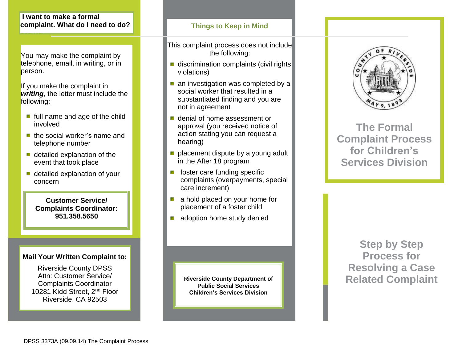## **I want to make a formal complaint. What do I need to do?**

**Here**

You may make the complaint by telephone, email, in writing, or in person.

If you make the complaint in *writing,* the letter must include the following:

- **full name and age of the child** involved
- **the social worker's name and** telephone number
- detailed explanation of the event that took place
- detailed explanation of your concern

**Customer Service/ Complaints Coordinator: 951.358.5650**

## **Mail Your Written Complaint to:**

Riverside County DPSS Attn: Customer Service/ Complaints Coordinator 10281 Kidd Street, 2<sup>nd</sup> Floor Riverside, CA 92503

## **Things to Keep in Mind**

This complaint process does not include the following:

- discrimination complaints (civil rights) violations)
- an investigation was completed by a social worker that resulted in a substantiated finding and you are not in agreement
- denial of home assessment or approval (you received notice of action stating you can request a hearing)
- placement dispute by a young adult in the After 18 program
- foster care funding specific complaints (overpayments, special care increment)
- a hold placed on your home for placement of a foster child
- adoption home study denied

**Public Social Services Children's Services Division**



**The Formal Complaint Process for Children's Services Division**

**Step by Step Process for Resolving a Case**  Riverside County Department of **Related Complaint**